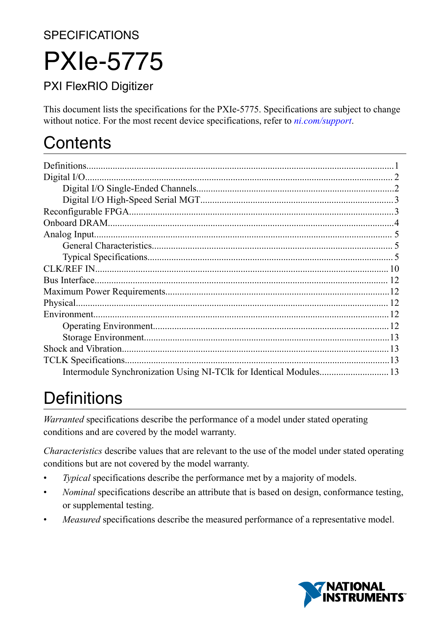**SPECIFICATIONS** 

# PXIe-5775

### PXI FlexRIO Digitizer

This document lists the specifications for the PXIe-5775. Specifications are subject to change without notice. For the most recent device specifications, refer to *[ni.com/support](http://www.ni.com/support)*.

# **Contents**

| Bus Interface. |  |
|----------------|--|
|                |  |
|                |  |
|                |  |
|                |  |
|                |  |
|                |  |
|                |  |
|                |  |

# **Definitions**

*Warranted* specifications describe the performance of a model under stated operating conditions and are covered by the model warranty.

*Characteristics* describe values that are relevant to the use of the model under stated operating conditions but are not covered by the model warranty.

- *Typical* specifications describe the performance met by a majority of models.
- *Nominal* specifications describe an attribute that is based on design, conformance testing, or supplemental testing.
- *Measured* specifications describe the measured performance of a representative model.

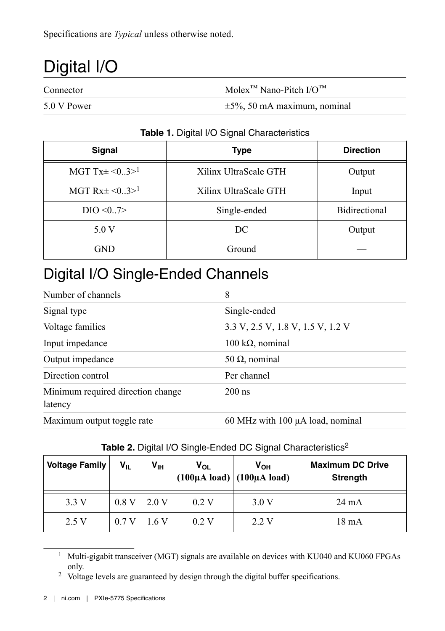<span id="page-1-0"></span>Specifications are *Typical* unless otherwise noted.

# Digital I/O

Connector Molex<sup>™</sup> Nano-Pitch I/O<sup>™</sup>

 $5.0 \text{ V Power}$   $\pm 5\%$ , 50 mA maximum, nominal

#### **Table 1.** Digital I/O Signal Characteristics

| Signal                         | <b>Type</b>           | <b>Direction</b>     |
|--------------------------------|-----------------------|----------------------|
| MGT Tx $\pm$ <03> <sup>1</sup> | Xilinx UltraScale GTH | Output               |
| MGT Rx $\pm$ <03> <sup>1</sup> | Xilinx UltraScale GTH | Input                |
| DIO < 0.7                      | Single-ended          | <b>Bidirectional</b> |
| 5.0 V                          | DC.                   | Output               |
| <b>GND</b>                     | Ground                |                      |

### Digital I/O Single-Ended Channels

| Number of channels                           | 8                                 |
|----------------------------------------------|-----------------------------------|
| Signal type                                  | Single-ended                      |
| Voltage families                             | 3.3 V, 2.5 V, 1.8 V, 1.5 V, 1.2 V |
| Input impedance                              | $100 \text{ k}\Omega$ , nominal   |
| Output impedance                             | 50 $\Omega$ , nominal             |
| Direction control                            | Per channel                       |
| Minimum required direction change<br>latency | $200$ ns                          |
| Maximum output toggle rate                   | 60 MHz with 100 µA load, nominal  |

| <b>Voltage Family</b> | $V_{IL}$ | V <sub>IH</sub> | $V_{OL}$ | V <sub>он</sub><br>$(100\mu A \text{ load})$ $(100\mu A \text{ load})$ | <b>Maximum DC Drive</b><br><b>Strength</b> |
|-----------------------|----------|-----------------|----------|------------------------------------------------------------------------|--------------------------------------------|
| 3.3V                  | 0.8V     | 2.0 V           | 0.2V     | 3.0V                                                                   | $24 \text{ mA}$                            |
| 2.5 V                 | 0.7V     | 1.6 V           | 0.2V     | 2.2 V                                                                  | $18 \text{ mA}$                            |

#### Table 2. Digital I/O Single-Ended DC Signal Characteristics<sup>2</sup>

<sup>&</sup>lt;sup>1</sup> Multi-gigabit transceiver (MGT) signals are available on devices with KU040 and KU060 FPGAs only.

<sup>&</sup>lt;sup>2</sup> Voltage levels are guaranteed by design through the digital buffer specifications.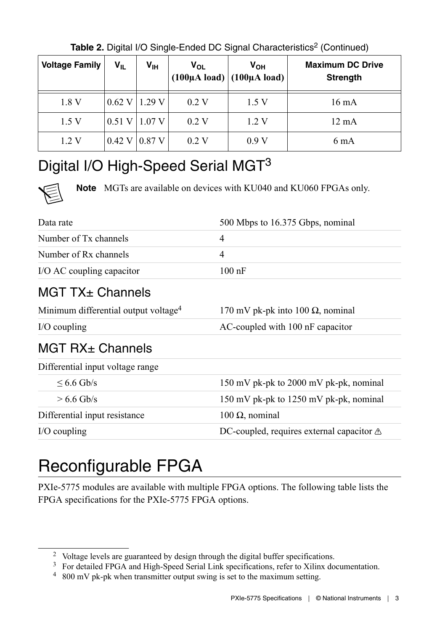<span id="page-2-0"></span>

| <b>Voltage Family</b> | $V_{IL}$          | V <sub>IH</sub>   | V <sub>OL</sub> | V <sub>OH</sub><br>$(100\mu A \text{ load})$ $(100\mu A \text{ load})$ | <b>Maximum DC Drive</b><br><b>Strength</b> |
|-----------------------|-------------------|-------------------|-----------------|------------------------------------------------------------------------|--------------------------------------------|
| 1.8 V                 |                   | $0.62$ V   1.29 V | 0.2V            | 1.5 V                                                                  | 16 mA                                      |
| 1.5V                  | $0.51$ V   1.07 V |                   | 0.2 V           | 1.2V                                                                   | $12 \text{ mA}$                            |
| 1.2V                  | 0.42 V 0.87 V     |                   | 0.2V            | 0.9V                                                                   | 6 mA                                       |

Table 2. Digital I/O Single-Ended DC Signal Characteristics<sup>2</sup> (Continued)

### Digital I/O High-Speed Serial MGT<sup>3</sup>

**Note** MGTs are available on devices with KU040 and KU060 FPGAs only.

| Data rate                                        | 500 Mbps to 16.375 Gbps, nominal                    |
|--------------------------------------------------|-----------------------------------------------------|
| Number of Tx channels                            | $\overline{4}$                                      |
| Number of Rx channels                            | $\overline{4}$                                      |
| I/O AC coupling capacitor                        | $100 \text{ nF}$                                    |
| $MGT$ TX $\pm$ Channels                          |                                                     |
| Minimum differential output voltage <sup>4</sup> | 170 mV pk-pk into 100 $\Omega$ , nominal            |
| $I/O$ coupling                                   | AC-coupled with 100 nF capacitor                    |
| MGT RX± Channels                                 |                                                     |
| Differential input voltage range                 |                                                     |
| $< 6.6$ Gb/s                                     | 150 mV pk-pk to 2000 mV pk-pk, nominal              |
| $> 6.6$ Gb/s                                     | 150 mV pk-pk to 1250 mV pk-pk, nominal              |
| Differential input resistance                    | 100 $\Omega$ , nominal                              |
| $I/O$ coupling                                   | DC-coupled, requires external capacitor $\triangle$ |

# Reconfigurable FPGA

PXIe-5775 modules are available with multiple FPGA options. The following table lists the FPGA specifications for the PXIe-5775 FPGA options.

<sup>2</sup> Voltage levels are guaranteed by design through the digital buffer specifications.

<sup>&</sup>lt;sup>3</sup> For detailed FPGA and High-Speed Serial Link specifications, refer to Xilinx documentation.

<sup>4</sup> 800 mV pk-pk when transmitter output swing is set to the maximum setting.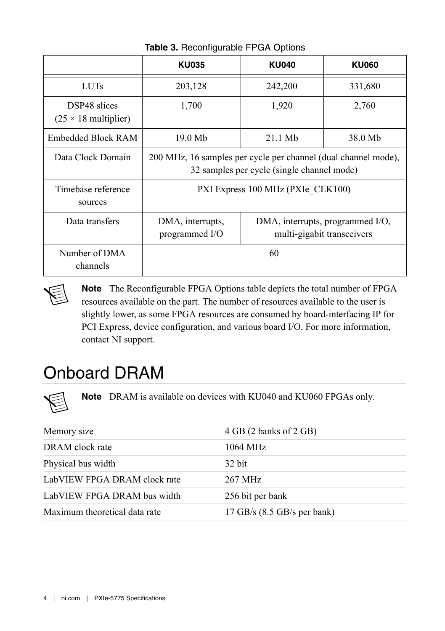<span id="page-3-0"></span>

|                                                            | <b>KU035</b>                                                                                                 |         | <b>KU060</b> |  |  |
|------------------------------------------------------------|--------------------------------------------------------------------------------------------------------------|---------|--------------|--|--|
| <b>LUTs</b>                                                | 203,128                                                                                                      | 242,200 | 331,680      |  |  |
| <b>DSP48</b> slices<br>$(25 \times 18 \text{ multiplier})$ | 1,700                                                                                                        | 2,760   |              |  |  |
| Embedded Block RAM                                         | $19.0$ Mb                                                                                                    | 38.0 Mb |              |  |  |
| Data Clock Domain                                          | 200 MHz, 16 samples per cycle per channel (dual channel mode),<br>32 samples per cycle (single channel mode) |         |              |  |  |
| Timebase reference<br>sources                              | PXI Express 100 MHz (PXIe CLK100)                                                                            |         |              |  |  |
| Data transfers                                             | DMA, interrupts,<br>DMA, interrupts, programmed I/O,<br>multi-gigabit transceivers<br>programmed $I/O$       |         |              |  |  |
| Number of DMA<br>channels                                  | 60                                                                                                           |         |              |  |  |

**Table 3.** Reconfigurable FPGA Options

**Note** The Reconfigurable FPGA Options table depicts the total number of FPGA resources available on the part. The number of resources available to the user is slightly lower, as some FPGA resources are consumed by board-interfacing IP for PCI Express, device configuration, and various board I/O. For more information, contact NI support.

# Onboard DRAM

**Note** DRAM is available on devices with KU040 and KU060 FPGAs only.

| Memory size                   | 4 GB (2 banks of 2 GB)          |
|-------------------------------|---------------------------------|
| DRAM clock rate               | 1064 MHz                        |
| Physical bus width            | 32 bit                          |
| LabVIEW FPGA DRAM clock rate  | 267 MHz                         |
| LabVIEW FPGA DRAM bus width   | 256 bit per bank                |
| Maximum theoretical data rate | $17$ GB/s $(8.5$ GB/s per bank) |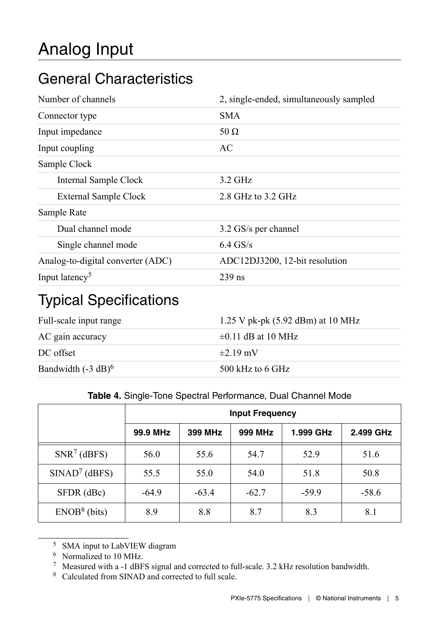# <span id="page-4-0"></span>Analog Input

### General Characteristics

| Number of channels                | 2, single-ended, simultaneously sampled |
|-----------------------------------|-----------------------------------------|
| Connector type                    | <b>SMA</b>                              |
| Input impedance                   | 50 $\Omega$                             |
| Input coupling                    | AC                                      |
| Sample Clock                      |                                         |
| Internal Sample Clock             | $3.2$ GHz                               |
| External Sample Clock             | 2.8 GHz to 3.2 GHz                      |
| Sample Rate                       |                                         |
| Dual channel mode                 | 3.2 GS/s per channel                    |
| Single channel mode               | $6.4$ GS/s                              |
| Analog-to-digital converter (ADC) | ADC12DJ3200, 12-bit resolution          |
| Input latency <sup>5</sup>        | $239$ ns                                |

### Typical Specifications

| Full-scale input range | 1.25 V pk-pk $(5.92$ dBm) at 10 MHz |
|------------------------|-------------------------------------|
| AC gain accuracy       | $\pm 0.11$ dB at 10 MHz             |
| DC offset              | $\pm$ 2.19 mV                       |
| Bandwidth $(-3 dB)^6$  | 500 kHz to 6 GHz                    |

#### **Table 4.** Single-Tone Spectral Performance, Dual Channel Mode

|                 | <b>Input Frequency</b> |         |         |           |           |
|-----------------|------------------------|---------|---------|-----------|-----------|
|                 | 99.9 MHz               | 399 MHz | 999 MHz | 1.999 GHz | 2.499 GHz |
| $SNR^7$ (dBFS)  | 56.0                   | 55.6    | 54.7    | 52.9      | 51.6      |
| $SINAD7$ (dBFS) | 55.5                   | 55.0    | 54.0    | 51.8      | 50.8      |
| SFDR (dBc)      | $-64.9$                | $-63.4$ | $-62.7$ | $-59.9$   | $-58.6$   |
| $ENOB8$ (bits)  | 8.9                    | 8.8     | 8.7     | 8.3       | 8.1       |

<sup>5</sup> SMA input to LabVIEW diagram

<sup>6</sup> Normalized to 10 MHz.

<sup>7</sup> Measured with a -1 dBFS signal and corrected to full-scale. 3.2 kHz resolution bandwidth.

<sup>8</sup> Calculated from SINAD and corrected to full scale.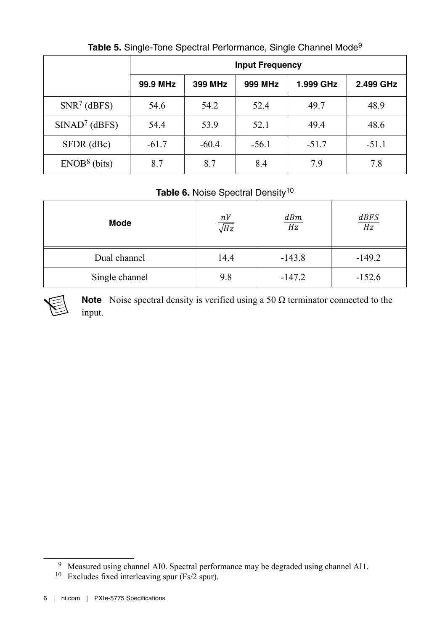|                 | <b>Input Frequency</b> |         |         |           |           |
|-----------------|------------------------|---------|---------|-----------|-----------|
|                 | 99.9 MHz               | 399 MHz | 999 MHz | 1.999 GHz | 2.499 GHz |
| $SNR^7$ (dBFS)  | 54.6                   | 54.2    | 52.4    | 49.7      | 48.9      |
| $SINAD7$ (dBFS) | 54.4                   | 53.9    | 52.1    | 49.4      | 48.6      |
| SFDR (dBc)      | $-61.7$                | $-60.4$ | $-56.1$ | $-51.7$   | $-51.1$   |
| $ENOB8$ (bits)  | 8.7                    | 8.7     | 8.4     | 7.9       | 7.8       |

**Table 5.** Single-Tone Spectral Performance, Single Channel Mode<sup>9</sup>

#### Table 6. Noise Spectral Density<sup>10</sup>

| Mode           | $\frac{nV}{\sqrt{Hz}}$ | dBm<br>Hz | $\frac{dBFS}{Hz}$ |
|----------------|------------------------|-----------|-------------------|
| Dual channel   | 14.4                   | $-143.8$  | $-149.2$          |
| Single channel | 9.8                    | $-147.2$  | $-152.6$          |



**Note** Noise spectral density is verified using a 50  $\Omega$  terminator connected to the input.

<sup>9</sup> Measured using channel AI0. Spectral performance may be degraded using channel AI1.

<sup>10</sup> Excludes fixed interleaving spur (Fs/2 spur).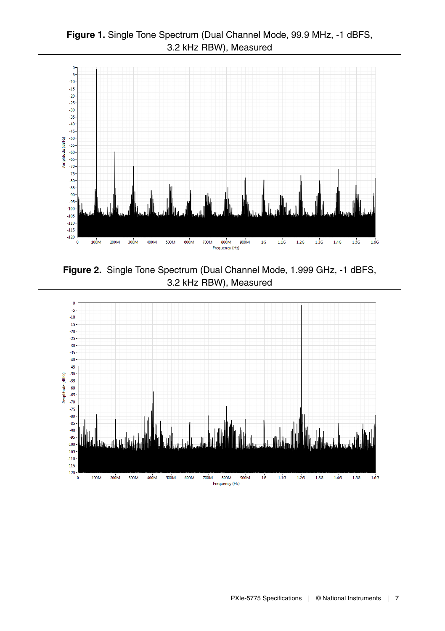



**Figure 2.** Single Tone Spectrum (Dual Channel Mode, 1.999 GHz, -1 dBFS, 3.2 kHz RBW), Measured

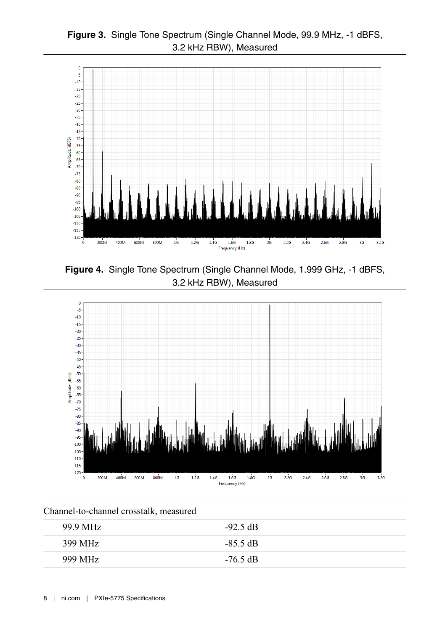



**Figure 4.** Single Tone Spectrum (Single Channel Mode, 1.999 GHz, -1 dBFS, 3.2 kHz RBW), Measured



| Channel-to-channel crosstalk, measured |                      |  |
|----------------------------------------|----------------------|--|
| 99.9 MHz                               | $-92.5 \text{ dB}$   |  |
| 399 MHz                                | $-85.5 \, \text{dB}$ |  |
| 999 MHz                                | $-76.5 \text{ dB}$   |  |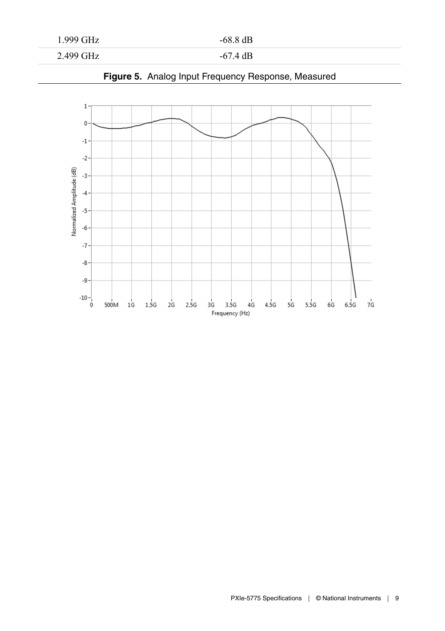#### 1.999 GHz -68.8 dB

2.499 GHz -67.4 dB



#### **Figure 5.** Analog Input Frequency Response, Measured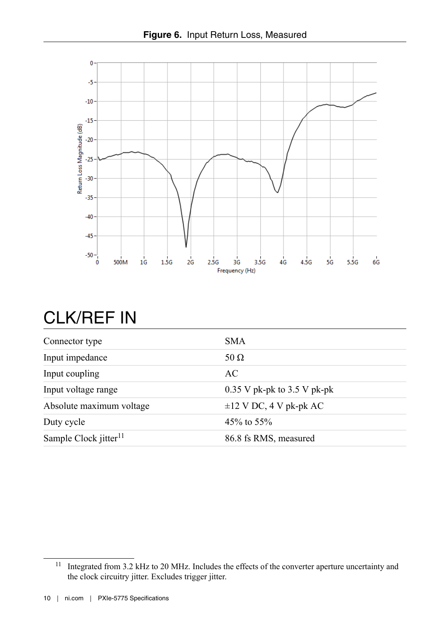<span id="page-9-0"></span>

### CLK/REF IN

| Connector type                    | <b>SMA</b>                    |
|-----------------------------------|-------------------------------|
| Input impedance                   | 50 $\Omega$                   |
| Input coupling                    | AC                            |
| Input voltage range               | $0.35$ V pk-pk to 3.5 V pk-pk |
| Absolute maximum voltage          | $\pm 12$ V DC, 4 V pk-pk AC   |
| Duty cycle                        | $45\%$ to $55\%$              |
| Sample Clock jitter <sup>11</sup> | 86.8 fs RMS, measured         |

<sup>11</sup> Integrated from 3.2 kHz to 20 MHz. Includes the effects of the converter aperture uncertainty and the clock circuitry jitter. Excludes trigger jitter.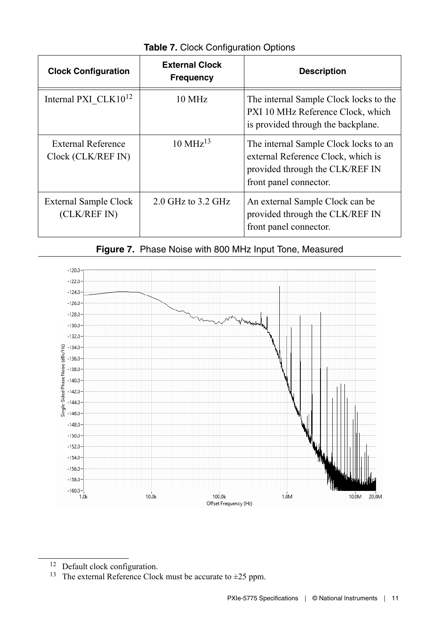| <b>Clock Configuration</b>                      | <b>External Clock</b><br><b>Frequency</b> | <b>Description</b>                                                                                                                       |
|-------------------------------------------------|-------------------------------------------|------------------------------------------------------------------------------------------------------------------------------------------|
| Internal PXI CLK10 <sup>12</sup>                | $10 \text{ MHz}$                          | The internal Sample Clock locks to the<br>PXI 10 MHz Reference Clock, which<br>is provided through the backplane.                        |
| <b>External Reference</b><br>Clock (CLK/REF IN) | $10 \text{ MHz}$ <sup>13</sup>            | The internal Sample Clock locks to an<br>external Reference Clock, which is<br>provided through the CLK/REF IN<br>front panel connector. |
| External Sample Clock<br>(CLK/REF IN)           | $2.0$ GHz to $3.2$ GHz                    | An external Sample Clock can be<br>provided through the CLK/REF IN<br>front panel connector.                                             |

**Table 7.** Clock Configuration Options





<sup>&</sup>lt;sup>12</sup> Default clock configuration.

<sup>&</sup>lt;sup>13</sup> The external Reference Clock must be accurate to  $\pm$ 25 ppm.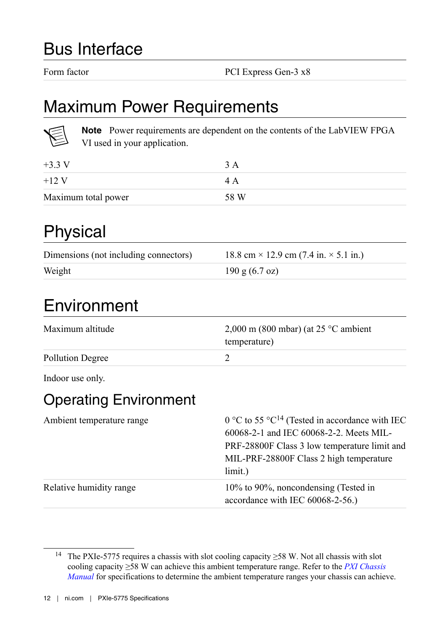### <span id="page-11-0"></span>Bus Interface

Form factor PCI Express Gen-3 x8

### Maximum Power Requirements

**Note** Power requirements are dependent on the contents of the LabVIEW FPGA VI used in your application.

| $+3.3 \text{ V}$    | 3 A  |
|---------------------|------|
| $+12V$              | 4 A  |
| Maximum total power | 58 W |

### Physical

| Dimensions (not including connectors) | $18.8 \text{ cm} \times 12.9 \text{ cm}$ (7.4 in. $\times$ 5.1 in.) |
|---------------------------------------|---------------------------------------------------------------------|
| Weight                                | $190 \text{ g} (6.7 \text{ oz})$                                    |

# Environment

| Maximum altitude | $2,000$ m (800 mbar) (at 25 °C ambient<br>temperature) |
|------------------|--------------------------------------------------------|
| Pollution Degree |                                                        |

Indoor use only.

### Operating Environment

| Ambient temperature range | 0 °C to 55 °C <sup>14</sup> (Tested in accordance with IEC<br>60068-2-1 and IEC 60068-2-2. Meets MIL-<br>PRF-28800F Class 3 low temperature limit and<br>MIL-PRF-28800F Class 2 high temperature<br>limit.) |
|---------------------------|-------------------------------------------------------------------------------------------------------------------------------------------------------------------------------------------------------------|
| Relative humidity range   | 10% to 90%, noncondensing (Tested in<br>accordance with IEC 60068-2-56.                                                                                                                                     |

<sup>14</sup> The PXIe-5775 requires a chassis with slot cooling capacity ≥58 W. Not all chassis with slot cooling capacity ≥58 W can achieve this ambient temperature range. Refer to the *[PXI Chassis](http://www.ni.com/documentation/en/pxi-chassis/latest/manual/manual-overview/) [Manual](http://www.ni.com/documentation/en/pxi-chassis/latest/manual/manual-overview/)* for specifications to determine the ambient temperature ranges your chassis can achieve.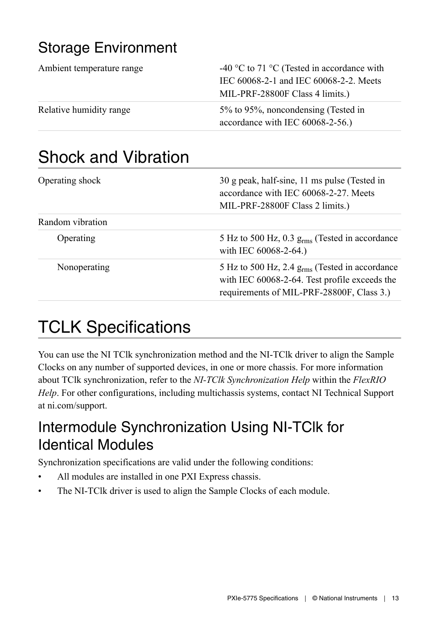### <span id="page-12-0"></span>Storage Environment

| Ambient temperature range | -40 °C to 71 °C (Tested in accordance with<br>IEC 60068-2-1 and IEC 60068-2-2. Meets<br>MIL-PRF-28800F Class 4 limits.) |
|---------------------------|-------------------------------------------------------------------------------------------------------------------------|
| Relative humidity range   | 5% to 95%, noncondensing (Tested in<br>accordance with IEC 60068-2-56.                                                  |

# Shock and Vibration

| Operating shock  | 30 g peak, half-sine, 11 ms pulse (Tested in<br>accordance with IEC 60068-2-27. Meets<br>MIL-PRF-28800F Class 2 limits.)                          |
|------------------|---------------------------------------------------------------------------------------------------------------------------------------------------|
| Random vibration |                                                                                                                                                   |
| Operating        | 5 Hz to 500 Hz, $0.3$ g <sub>rms</sub> (Tested in accordance<br>with IEC 60068-2-64.)                                                             |
| Nonoperating     | 5 Hz to 500 Hz, 2.4 $g_{rms}$ (Tested in accordance<br>with IEC 60068-2-64. Test profile exceeds the<br>requirements of MIL-PRF-28800F, Class 3.) |

# TCLK Specifications

You can use the NI TClk synchronization method and the NI-TClk driver to align the Sample Clocks on any number of supported devices, in one or more chassis. For more information about TClk synchronization, refer to the *NI-TClk Synchronization Help* within the *FlexRIO Help*. For other configurations, including multichassis systems, contact NI Technical Support at ni.com/support.

### Intermodule Synchronization Using NI-TClk for Identical Modules

Synchronization specifications are valid under the following conditions:

- All modules are installed in one PXI Express chassis.
- The NI-TClk driver is used to align the Sample Clocks of each module.